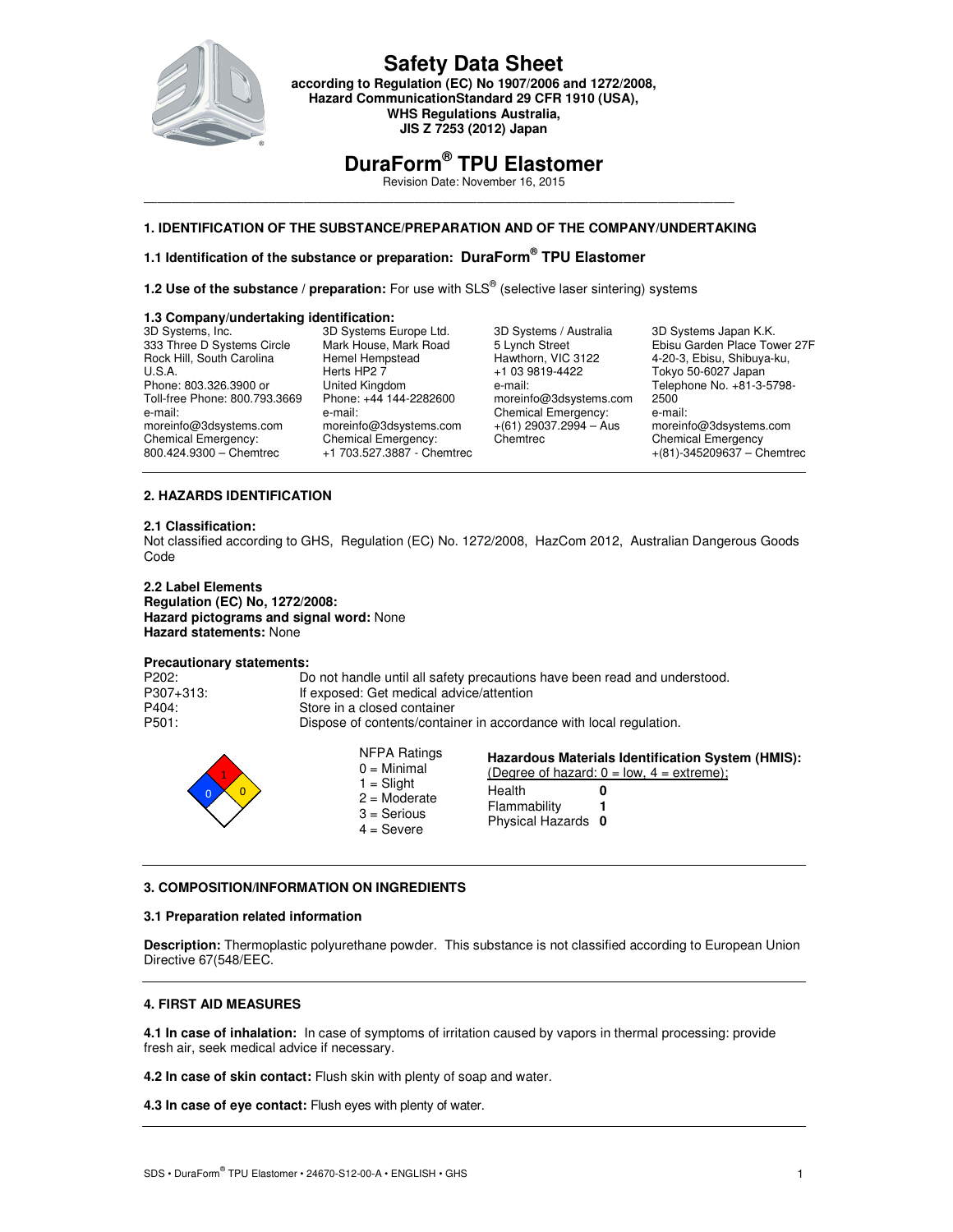

**according to Regulation (EC) No 1907/2006 and 1272/2008, Hazard CommunicationStandard 29 CFR 1910 (USA), WHS Regulations Australia, JIS Z 7253 (2012) Japan** 

# **DuraForm® TPU Elastomer**

Revision Date: November 16, 2015

### \_\_\_\_\_\_\_\_\_\_\_\_\_\_\_\_\_\_\_\_\_\_\_\_\_\_\_\_\_\_\_\_\_\_\_\_\_\_\_\_\_\_\_\_\_\_\_\_\_\_\_\_\_\_\_\_\_\_\_\_\_\_\_\_\_\_\_\_\_\_\_\_\_\_\_\_\_\_\_\_\_\_\_\_\_ **1. IDENTIFICATION OF THE SUBSTANCE/PREPARATION AND OF THE COMPANY/UNDERTAKING**

### **1.1 Identification of the substance or preparation: DuraForm® TPU Elastomer**

**1.2 Use of the substance / preparation:** For use with SLS<sup>®</sup> (selective laser sintering) systems

#### **1.3 Company/undertaking identification:**

3D Systems, Inc. 333 Three D Systems Circle Rock Hill, South Carolina U.S.A. Phone: 803.326.3900 or Toll-free Phone: 800.793.3669 e-mail: moreinfo@3dsystems.com Chemical Emergency: 800.424.9300 – Chemtrec

3D Systems Europe Ltd. Mark House, Mark Road Hemel Hempstead Herts HP2 7 United Kingdom Phone: +44 144-2282600 e-mail: moreinfo@3dsystems.com Chemical Emergency: +1 703.527.3887 - Chemtrec

3D Systems / Australia 5 Lynch Street Hawthorn, VIC 3122 +1 03 9819-4422 e-mail: moreinfo@3dsystems.com Chemical Emergency:  $+(61)$  29037.2994 – Aus **Chemtrec** 

3D Systems Japan K.K. Ebisu Garden Place Tower 27F 4-20-3, Ebisu, Shibuya-ku, Tokyo 50-6027 Japan Telephone No. +81-3-5798- 2500 e-mail: moreinfo@3dsystems.com Chemical Emergency  $+(81) - 345209637 -$  Chemtrec

### **2. HAZARDS IDENTIFICATION**

#### **2.1 Classification:**

Not classified according to GHS, Regulation (EC) No. 1272/2008, HazCom 2012, Australian Dangerous Goods Code

#### **2.2 Label Elements Regulation (EC) No, 1272/2008: Hazard pictograms and signal word:** None **Hazard statements:** None

#### **Precautionary statements:**

| P202:     | Do not handle until all safety precautions have been read and understood. |
|-----------|---------------------------------------------------------------------------|
| P307+313: | If exposed: Get medical advice/attention                                  |
| P404:     | Store in a closed container                                               |
| P501:     | Dispose of contents/container in accordance with local regulation.        |
|           |                                                                           |

| NFPA Ratings<br>$0 =$ Minimal<br>$1 =$ Slight<br>$2 =$ Moderate<br>$3 =$ Serious<br>$4 =$ Severe | Hazardous Materials Identification System (HMIS):<br>(Degree of hazard: $0 = low$ , $4 = extreme$ );<br>Health<br>Flammability<br>Physical Hazards 0 |
|--------------------------------------------------------------------------------------------------|------------------------------------------------------------------------------------------------------------------------------------------------------|
|--------------------------------------------------------------------------------------------------|------------------------------------------------------------------------------------------------------------------------------------------------------|

#### **3. COMPOSITION/INFORMATION ON INGREDIENTS**

#### **3.1 Preparation related information**

**Description:** Thermoplastic polyurethane powder. This substance is not classified according to European Union Directive 67(548/EEC.

#### **4. FIRST AID MEASURES**

**4.1 In case of inhalation:** In case of symptoms of irritation caused by vapors in thermal processing: provide fresh air, seek medical advice if necessary.

**4.2 In case of skin contact:** Flush skin with plenty of soap and water.

**4.3 In case of eye contact:** Flush eyes with plenty of water.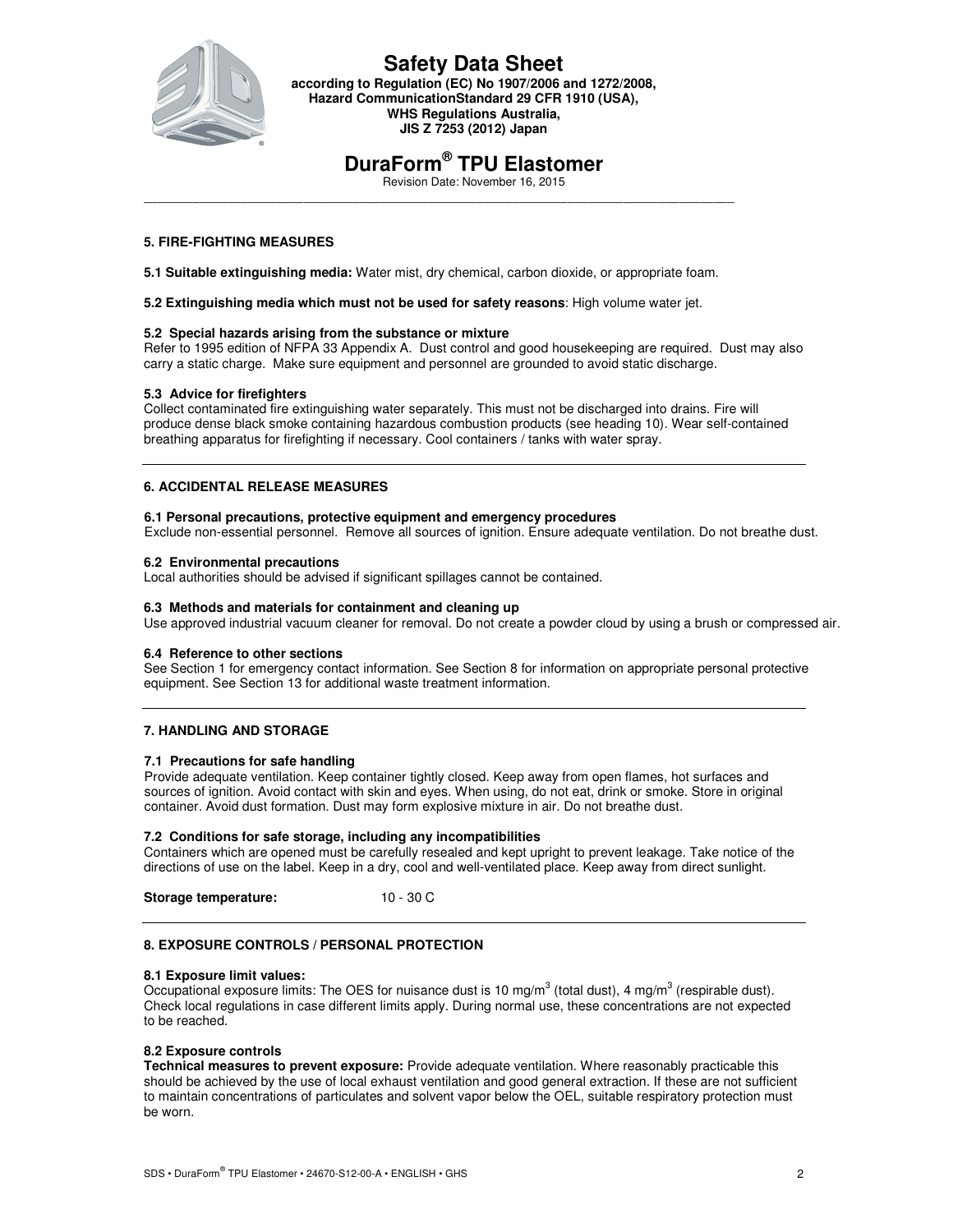

**according to Regulation (EC) No 1907/2006 and 1272/2008, Hazard CommunicationStandard 29 CFR 1910 (USA), WHS Regulations Australia, JIS Z 7253 (2012) Japan** 

# **DuraForm® TPU Elastomer**

Revision Date: November 16, 2015

### **5. FIRE-FIGHTING MEASURES**

**5.1 Suitable extinguishing media:** Water mist, dry chemical, carbon dioxide, or appropriate foam.

\_\_\_\_\_\_\_\_\_\_\_\_\_\_\_\_\_\_\_\_\_\_\_\_\_\_\_\_\_\_\_\_\_\_\_\_\_\_\_\_\_\_\_\_\_\_\_\_\_\_\_\_\_\_\_\_\_\_\_\_\_\_\_\_\_\_\_\_\_\_\_\_\_\_\_\_\_\_\_\_\_\_\_\_\_

**5.2 Extinguishing media which must not be used for safety reasons**: High volume water jet.

#### **5.2 Special hazards arising from the substance or mixture**

Refer to 1995 edition of NFPA 33 Appendix A. Dust control and good housekeeping are required. Dust may also carry a static charge. Make sure equipment and personnel are grounded to avoid static discharge.

#### **5.3 Advice for firefighters**

Collect contaminated fire extinguishing water separately. This must not be discharged into drains. Fire will produce dense black smoke containing hazardous combustion products (see heading 10). Wear self-contained breathing apparatus for firefighting if necessary. Cool containers / tanks with water spray.

#### **6. ACCIDENTAL RELEASE MEASURES**

#### **6.1 Personal precautions, protective equipment and emergency procedures**

Exclude non-essential personnel. Remove all sources of ignition. Ensure adequate ventilation. Do not breathe dust.

#### **6.2 Environmental precautions**

Local authorities should be advised if significant spillages cannot be contained.

#### **6.3 Methods and materials for containment and cleaning up**

Use approved industrial vacuum cleaner for removal. Do not create a powder cloud by using a brush or compressed air.

#### **6.4 Reference to other sections**

See Section 1 for emergency contact information. See Section 8 for information on appropriate personal protective equipment. See Section 13 for additional waste treatment information.

#### **7. HANDLING AND STORAGE**

#### **7.1 Precautions for safe handling**

Provide adequate ventilation. Keep container tightly closed. Keep away from open flames, hot surfaces and sources of ignition. Avoid contact with skin and eyes. When using, do not eat, drink or smoke. Store in original container. Avoid dust formation. Dust may form explosive mixture in air. Do not breathe dust.

#### **7.2 Conditions for safe storage, including any incompatibilities**

Containers which are opened must be carefully resealed and kept upright to prevent leakage. Take notice of the directions of use on the label. Keep in a dry, cool and well-ventilated place. Keep away from direct sunlight.

**Storage temperature:** 10 - 30 C

#### **8. EXPOSURE CONTROLS / PERSONAL PROTECTION**

#### **8.1 Exposure limit values:**

Occupational exposure limits: The OES for nuisance dust is 10 mg/m<sup>3</sup> (total dust), 4 mg/m<sup>3</sup> (respirable dust). Check local regulations in case different limits apply. During normal use, these concentrations are not expected to be reached.

#### **8.2 Exposure controls**

**Technical measures to prevent exposure:** Provide adequate ventilation. Where reasonably practicable this should be achieved by the use of local exhaust ventilation and good general extraction. If these are not sufficient to maintain concentrations of particulates and solvent vapor below the OEL, suitable respiratory protection must be worn.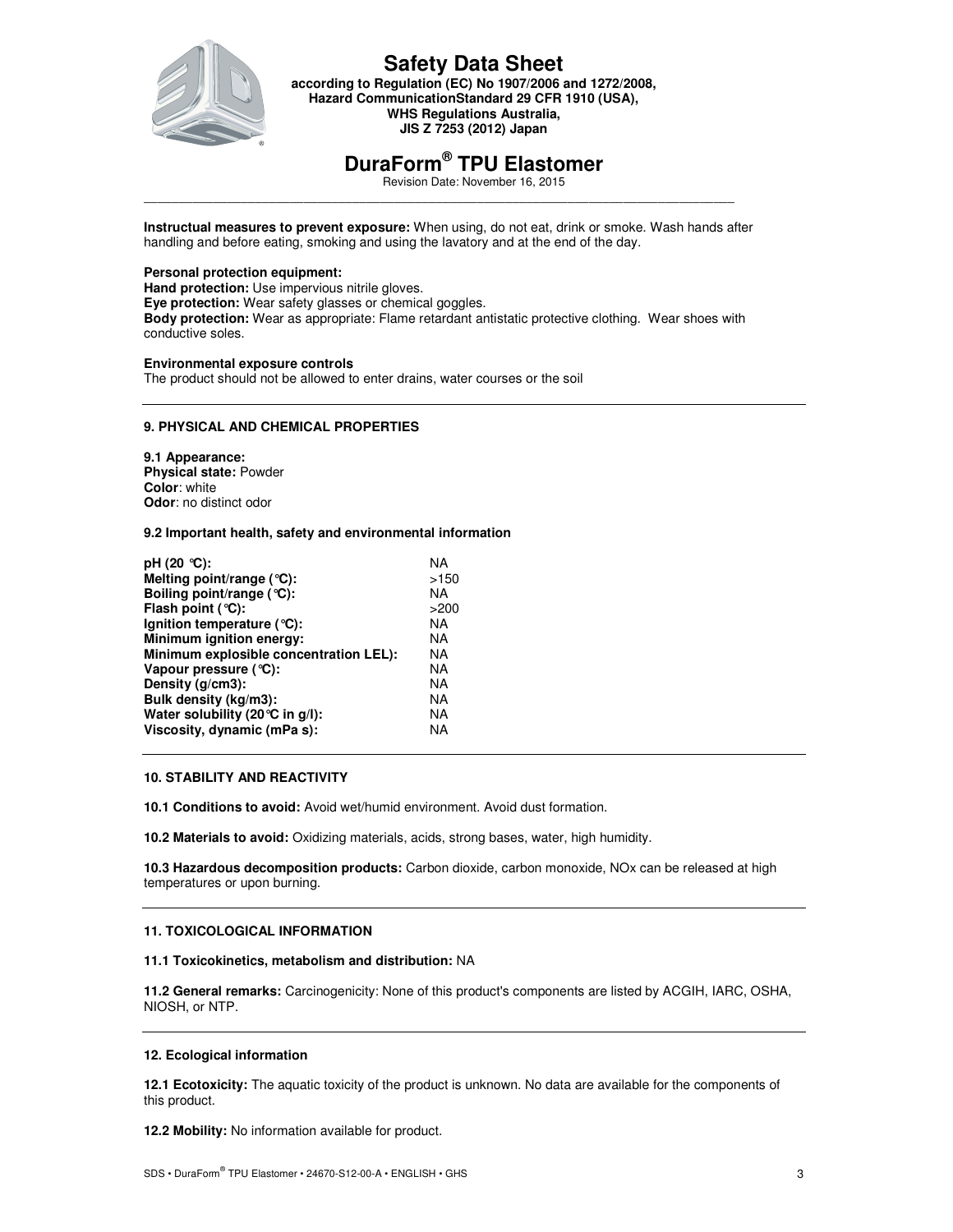

**according to Regulation (EC) No 1907/2006 and 1272/2008, Hazard CommunicationStandard 29 CFR 1910 (USA), WHS Regulations Australia, JIS Z 7253 (2012) Japan** 

# **DuraForm® TPU Elastomer**

Revision Date: November 16, 2015

\_\_\_\_\_\_\_\_\_\_\_\_\_\_\_\_\_\_\_\_\_\_\_\_\_\_\_\_\_\_\_\_\_\_\_\_\_\_\_\_\_\_\_\_\_\_\_\_\_\_\_\_\_\_\_\_\_\_\_\_\_\_\_\_\_\_\_\_\_\_\_\_\_\_\_\_\_\_\_\_\_\_\_\_\_ **Instructual measures to prevent exposure:** When using, do not eat, drink or smoke. Wash hands after handling and before eating, smoking and using the lavatory and at the end of the day.

#### **Personal protection equipment:**

**Hand protection:** Use impervious nitrile gloves. **Eye protection:** Wear safety glasses or chemical goggles. **Body protection:** Wear as appropriate: Flame retardant antistatic protective clothing. Wear shoes with conductive soles.

#### **Environmental exposure controls**

The product should not be allowed to enter drains, water courses or the soil

#### **9. PHYSICAL AND CHEMICAL PROPERTIES**

**9.1 Appearance: Physical state:** Powder **Color**: white **Odor**: no distinct odor

#### **9.2 Important health, safety and environmental information**

| ΝA   |
|------|
| >150 |
| ΝA   |
| >200 |
| ΝA   |
| ΝA   |
| ΝA   |
| ΝA   |
| ΝA   |
| ΝA   |
| ΝA   |
| ΝA   |
|      |

#### **10. STABILITY AND REACTIVITY**

**10.1 Conditions to avoid:** Avoid wet/humid environment. Avoid dust formation.

**10.2 Materials to avoid:** Oxidizing materials, acids, strong bases, water, high humidity.

**10.3 Hazardous decomposition products:** Carbon dioxide, carbon monoxide, NOx can be released at high temperatures or upon burning.

#### **11. TOXICOLOGICAL INFORMATION**

#### **11.1 Toxicokinetics, metabolism and distribution:** NA

**11.2 General remarks:** Carcinogenicity: None of this product's components are listed by ACGIH, IARC, OSHA, NIOSH, or NTP.

#### **12. Ecological information**

**12.1 Ecotoxicity:** The aquatic toxicity of the product is unknown. No data are available for the components of this product.

**12.2 Mobility:** No information available for product.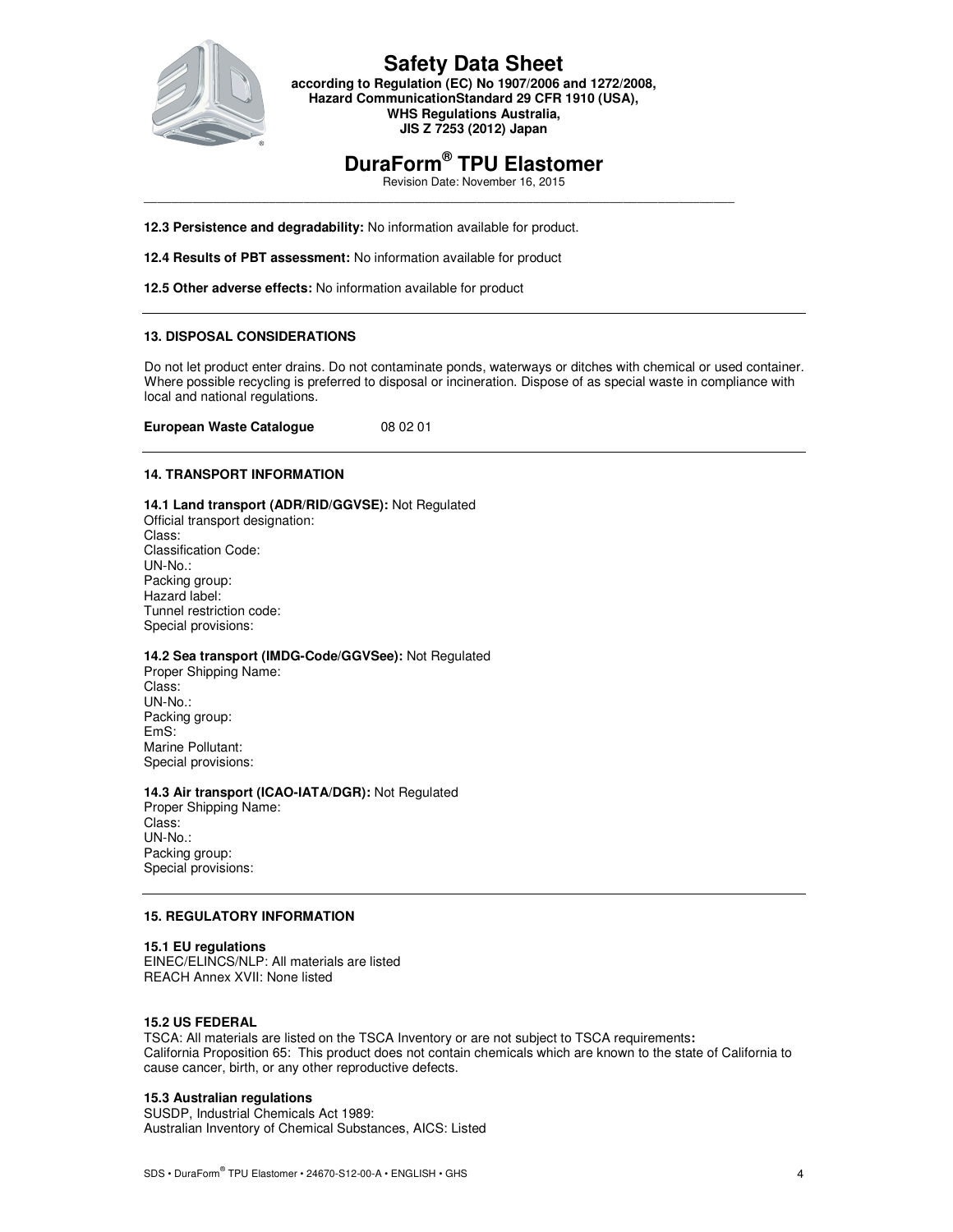

### **Safety Data Sheet according to Regulation (EC) No 1907/2006 and 1272/2008,**

**Hazard CommunicationStandard 29 CFR 1910 (USA), WHS Regulations Australia, JIS Z 7253 (2012) Japan** 

# **DuraForm® TPU Elastomer**

\_\_\_\_\_\_\_\_\_\_\_\_\_\_\_\_\_\_\_\_\_\_\_\_\_\_\_\_\_\_\_\_\_\_\_\_\_\_\_\_\_\_\_\_\_\_\_\_\_\_\_\_\_\_\_\_\_\_\_\_\_\_\_\_\_\_\_\_\_\_\_\_\_\_\_\_\_\_\_\_\_\_\_\_\_

Revision Date: November 16, 2015

**12.3 Persistence and degradability:** No information available for product.

**12.4 Results of PBT assessment:** No information available for product

**12.5 Other adverse effects:** No information available for product

#### **13. DISPOSAL CONSIDERATIONS**

Do not let product enter drains. Do not contaminate ponds, waterways or ditches with chemical or used container. Where possible recycling is preferred to disposal or incineration. Dispose of as special waste in compliance with local and national regulations.

**European Waste Catalogue** 08 02 01

#### **14. TRANSPORT INFORMATION**

**14.1 Land transport (ADR/RID/GGVSE):** Not Regulated Official transport designation: Class: Classification Code: UN-No.: Packing group: Hazard label: Tunnel restriction code: Special provisions:

**14.2 Sea transport (IMDG-Code/GGVSee):** Not Regulated

Proper Shipping Name: Class: UN-No.: Packing group: EmS: Marine Pollutant: Special provisions:

#### **14.3 Air transport (ICAO-IATA/DGR):** Not Regulated

Proper Shipping Name: Class: UN-No.: Packing group: Special provisions:

#### **15. REGULATORY INFORMATION**

**15.1 EU regulations**  EINEC/ELINCS/NLP: All materials are listed REACH Annex XVII: None listed

#### **15.2 US FEDERAL**

TSCA: All materials are listed on the TSCA Inventory or are not subject to TSCA requirements**:**  California Proposition 65: This product does not contain chemicals which are known to the state of California to cause cancer, birth, or any other reproductive defects.

#### **15.3 Australian regulations**

SUSDP, Industrial Chemicals Act 1989: Australian Inventory of Chemical Substances, AICS: Listed